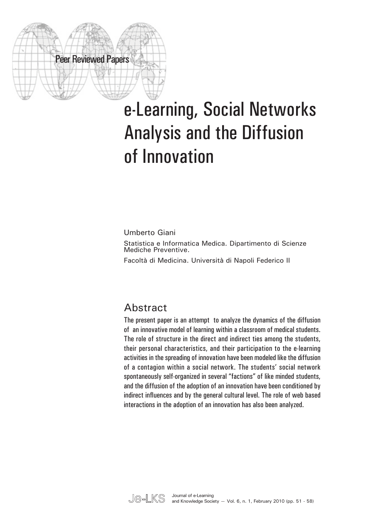

# e-Learning, Social Networks Analysis and the Diffusion of Innovation

Umberto Giani Statistica e Informatica Medica. Dipartimento di Scienze Mediche Preventive.

Facoltà di Medicina. Università di Napoli Federico II

### **Abstract**

The present paper is an attempt to analyze the dynamics of the diffusion of an innovative model of learning within a classroom of medical students. The role of structure in the direct and indirect ties among the students, their personal characteristics, and their participation to the e-learning activities in the spreading of innovation have been modeled like the diffusion of a contagion within a social network. The students' social network spontaneously self-organized in several "factions" of like minded students, and the diffusion of the adoption of an innovation have been conditioned by indirect influences and by the general cultural level. The role of web based interactions in the adoption of an innovation has also been analyzed.

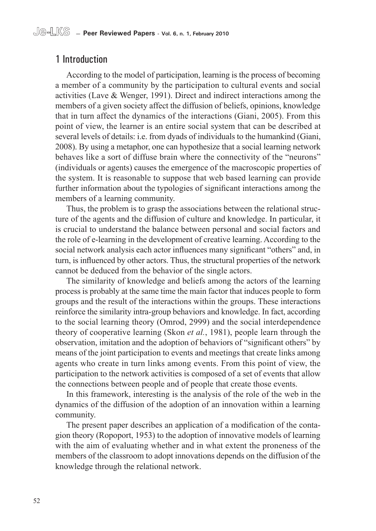#### 1 Introduction

According to the model of participation, learning is the process of becoming a member of a community by the participation to cultural events and social activities (Lave & Wenger, 1991). Direct and indirect interactions among the members of a given society affect the diffusion of beliefs, opinions, knowledge that in turn affect the dynamics of the interactions (Giani, 2005). From this point of view, the learner is an entire social system that can be described at several levels of details: i.e. from dyads of individuals to the humankind (Giani, 2008). By using a metaphor, one can hypothesize that a social learning network behaves like a sort of diffuse brain where the connectivity of the "neurons" (individuals or agents) causes the emergence of the macroscopic properties of the system. It is reasonable to suppose that web based learning can provide further information about the typologies of significant interactions among the members of a learning community.

Thus, the problem is to grasp the associations between the relational structure of the agents and the diffusion of culture and knowledge. In particular, it is crucial to understand the balance between personal and social factors and the role of e-learning in the development of creative learning. According to the social network analysis each actor influences many significant "others" and, in turn, is influenced by other actors. Thus, the structural properties of the network cannot be deduced from the behavior of the single actors.

The similarity of knowledge and beliefs among the actors of the learning process is probably at the same time the main factor that induces people to form groups and the result of the interactions within the groups. These interactions reinforce the similarity intra-group behaviors and knowledge. In fact, according to the social learning theory (Omrod, 2999) and the social interdependence theory of cooperative learning (Skon *et al.*, 1981), people learn through the observation, imitation and the adoption of behaviors of "significant others" by means of the joint participation to events and meetings that create links among agents who create in turn links among events. From this point of view, the participation to the network activities is composed of a set of events that allow the connections between people and of people that create those events.

In this framework, interesting is the analysis of the role of the web in the dynamics of the diffusion of the adoption of an innovation within a learning community.

The present paper describes an application of a modification of the contagion theory (Ropoport, 1953) to the adoption of innovative models of learning with the aim of evaluating whether and in what extent the proneness of the members of the classroom to adopt innovations depends on the diffusion of the knowledge through the relational network.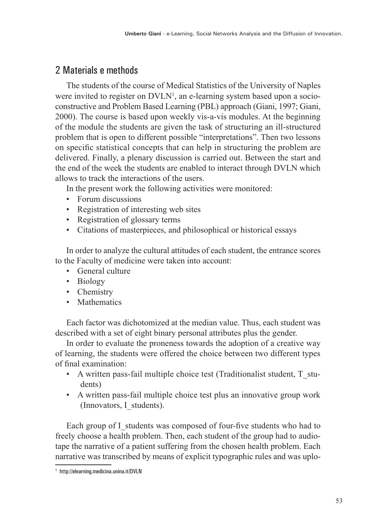#### 2 Materials e methods

The students of the course of Medical Statistics of the University of Naples were invited to register on DVLN<sup>1</sup>, an e-learning system based upon a socioconstructive and Problem Based Learning (PBL) approach (Giani, 1997; Giani, 2000). The course is based upon weekly vis-a-vis modules. At the beginning of the module the students are given the task of structuring an ill-structured problem that is open to different possible "interpretations". Then two lessons on specific statistical concepts that can help in structuring the problem are delivered. Finally, a plenary discussion is carried out. Between the start and the end of the week the students are enabled to interact through DVLN which allows to track the interactions of the users.

In the present work the following activities were monitored:

- Forum discussions
- Registration of interesting web sites
- Registration of glossary terms
- Citations of masterpieces, and philosophical or historical essays

In order to analyze the cultural attitudes of each student, the entrance scores to the Faculty of medicine were taken into account:

- General culture
- Biology
- Chemistry
- Mathematics

Each factor was dichotomized at the median value. Thus, each student was described with a set of eight binary personal attributes plus the gender.

In order to evaluate the proneness towards the adoption of a creative way of learning, the students were offered the choice between two different types of final examination:

- A written pass-fail multiple choice test (Traditionalist student, T\_students)
- A written pass-fail multiple choice test plus an innovative group work (Innovators, I\_students).

Each group of I\_students was composed of four-five students who had to freely choose a health problem. Then, each student of the group had to audiotape the narrative of a patient suffering from the chosen health problem. Each narrative was transcribed by means of explicit typographic rules and was uplo-

<sup>1</sup> http://elearning.medicina.unina.it/DVLN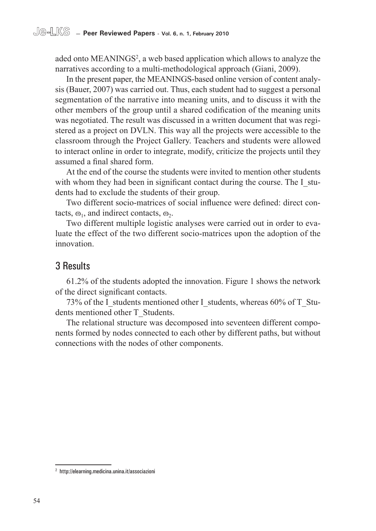aded onto MEANINGS<sup>2</sup>, a web based application which allows to analyze the narratives according to a multi-methodological approach (Giani, 2009).

In the present paper, the MEANINGS-based online version of content analysis (Bauer, 2007) was carried out. Thus, each student had to suggest a personal segmentation of the narrative into meaning units, and to discuss it with the other members of the group until a shared codification of the meaning units was negotiated. The result was discussed in a written document that was registered as a project on DVLN. This way all the projects were accessible to the classroom through the Project Gallery. Teachers and students were allowed to interact online in order to integrate, modify, criticize the projects until they assumed a final shared form.

At the end of the course the students were invited to mention other students with whom they had been in significant contact during the course. The I students had to exclude the students of their group.

Two different socio-matrices of social influence were defined: direct contacts,  $\omega_1$ , and indirect contacts,  $\omega_2$ .

Two different multiple logistic analyses were carried out in order to evaluate the effect of the two different socio-matrices upon the adoption of the innovation.

#### 3 Results

61.2% of the students adopted the innovation. Figure 1 shows the network of the direct significant contacts.

73% of the I\_students mentioned other I\_students, whereas 60% of T\_Students mentioned other T\_Students.

The relational structure was decomposed into seventeen different components formed by nodes connected to each other by different paths, but without connections with the nodes of other components.

<sup>2</sup> http://elearning.medicina.unina.it/associazioni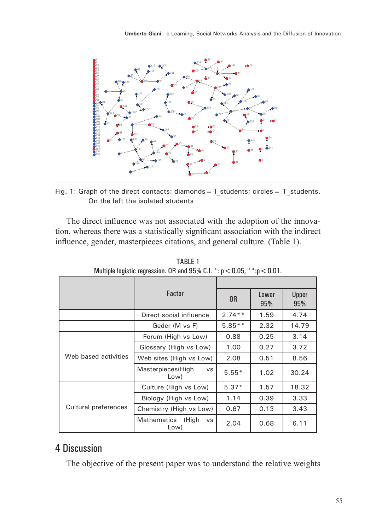

Fig. 1: Graph of the direct contacts: diamonds = 1 students; circles = T students. On the left the isolated students

The direct influence was not associated with the adoption of the innovation, whereas there was a statistically significant association with the indirect influence, gender, masterpieces citations, and general culture. (Table 1).

|                      | Factor                                 | 0 <sub>R</sub> | Lower<br>95% | Upper<br>95% |
|----------------------|----------------------------------------|----------------|--------------|--------------|
|                      | Direct social influence                | $2.74**$       | 1.59         | 4.74         |
|                      | Geder (M vs F)                         | $5.85**$       | 2.32         | 14.79        |
| Web based activities | Forum (High vs Low)                    | 0.88           | 0.25         | 3.14         |
|                      | Glossary (High vs Low)                 | 1.00           | 0.27         | 3.72         |
|                      | Web sites (High vs Low)                | 2.08           | 0.51         | 8.56         |
|                      | Masterpieces(High<br><b>VS</b><br>Low) | $5.55*$        | 1.02         | 30.24        |
| Cultural preferences | Culture (High vs Low)                  | $5.37*$        | 1.57         | 18.32        |
|                      | Biology (High vs Low)                  | 1.14           | 0.39         | 3.33         |
|                      | Chemistry (High vs Low)                | 0.67           | 0.13         | 3.43         |
|                      | Mathematics (High<br><b>VS</b><br>Low) | 2.04           | 0.68         | 6.11         |

TABLE 1 Multiple logistic regression. OR and 95% C.I.  $\cdot$ :  $p < 0.05$ ,  $\cdot$  $\cdot$ :  $p < 0.01$ .

#### 4 Discussion

The objective of the present paper was to understand the relative weights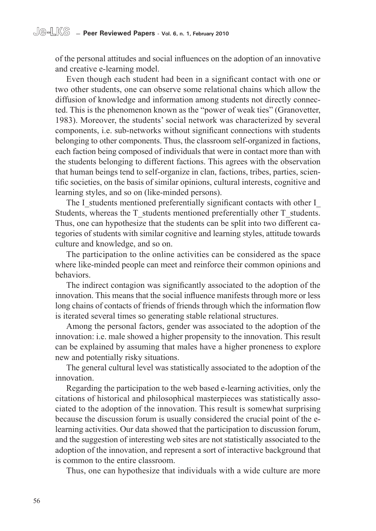of the personal attitudes and social influences on the adoption of an innovative and creative e-learning model.

Even though each student had been in a significant contact with one or two other students, one can observe some relational chains which allow the diffusion of knowledge and information among students not directly connected. This is the phenomenon known as the "power of weak ties" (Granovetter, 1983). Moreover, the students' social network was characterized by several components, i.e. sub-networks without significant connections with students belonging to other components. Thus, the classroom self-organized in factions, each faction being composed of individuals that were in contact more than with the students belonging to different factions. This agrees with the observation that human beings tend to self-organize in clan, factions, tribes, parties, scientific societies, on the basis of similar opinions, cultural interests, cognitive and learning styles, and so on (like-minded persons).

The I\_students mentioned preferentially significant contacts with other I Students, whereas the T\_students mentioned preferentially other T\_students. Thus, one can hypothesize that the students can be split into two different categories of students with similar cognitive and learning styles, attitude towards culture and knowledge, and so on.

The participation to the online activities can be considered as the space where like-minded people can meet and reinforce their common opinions and behaviors.

The indirect contagion was significantly associated to the adoption of the innovation. This means that the social influence manifests through more or less long chains of contacts of friends of friends through which the information flow is iterated several times so generating stable relational structures.

Among the personal factors, gender was associated to the adoption of the innovation: i.e. male showed a higher propensity to the innovation. This result can be explained by assuming that males have a higher proneness to explore new and potentially risky situations.

The general cultural level was statistically associated to the adoption of the innovation.

Regarding the participation to the web based e-learning activities, only the citations of historical and philosophical masterpieces was statistically associated to the adoption of the innovation. This result is somewhat surprising because the discussion forum is usually considered the crucial point of the elearning activities. Our data showed that the participation to discussion forum, and the suggestion of interesting web sites are not statistically associated to the adoption of the innovation, and represent a sort of interactive background that is common to the entire classroom.

Thus, one can hypothesize that individuals with a wide culture are more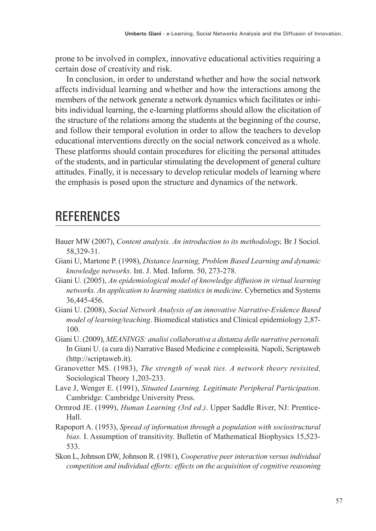prone to be involved in complex, innovative educational activities requiring a certain dose of creativity and risk.

In conclusion, in order to understand whether and how the social network affects individual learning and whether and how the interactions among the members of the network generate a network dynamics which facilitates or inhibits individual learning, the e-learning platforms should allow the elicitation of the structure of the relations among the students at the beginning of the course, and follow their temporal evolution in order to allow the teachers to develop educational interventions directly on the social network conceived as a whole. These platforms should contain procedures for eliciting the personal attitudes of the students, and in particular stimulating the development of general culture attitudes. Finally, it is necessary to develop reticular models of learning where the emphasis is posed upon the structure and dynamics of the network.

## **REFERENCES**

- Bauer MW (2007), *Content analysis. An introduction to its methodology,* Br J Sociol. 58,329-31.
- Giani U, Martone P. (1998), *Distance learning, Problem Based Learning and dynamic knowledge networks*. Int. J. Med. Inform. 50, 273-278.
- Giani U. (2005), *An epidemiological model of knowledge diffusion in virtual learning networks. An application to learning statistics in medicine*. Cybernetics and Systems 36,445-456.
- Giani U. (2008), *Social Network Analysis of an innovative Narrative-Evidence Based model of learning/teaching*. Biomedical statistics and Clinical epidemiology 2,87- 100.
- Giani U. (2009), *MEANINGS: analisi collaborativa a distanza delle narrative personali.*  In Giani U. (a cura di) Narrative Based Medicine e complessità. Napoli, Scriptaweb (http://scriptaweb.it).
- Granovetter MS. (1983), *The strength of weak ties. A network theory revisited,*  Sociological Theory 1,203-233.
- Lave J, Wenger E. (1991), *Situated Learning. Legitimate Peripheral Participation*. Cambridge: Cambridge University Press.
- Ormrod JE. (1999), *Human Learning (3rd ed.)*. Upper Saddle River, NJ: Prentice-Hall.
- Rapoport A. (1953), *Spread of information through a population with sociostructural bias.* I. Assumption of transitivity. Bulletin of Mathematical Biophysics 15,523- 533.
- Skon L, Johnson DW, Johnson R. (1981), *Cooperative peer interaction versus individual competition and individual efforts: effects on the acquisition of cognitive reasoning*